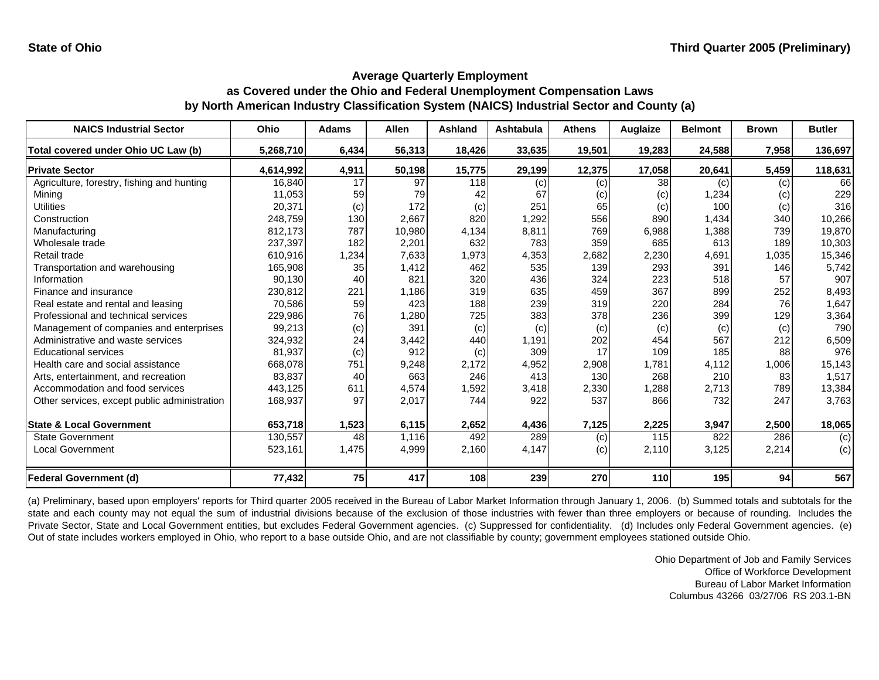| <b>NAICS Industrial Sector</b>               | <b>Ohio</b> | <b>Adams</b> | <b>Allen</b> | <b>Ashland</b> | <b>Ashtabula</b> | <b>Athens</b> | Auglaize          | <b>Belmont</b> | <b>Brown</b> | <b>Butler</b> |
|----------------------------------------------|-------------|--------------|--------------|----------------|------------------|---------------|-------------------|----------------|--------------|---------------|
| Total covered under Ohio UC Law (b)          | 5,268,710   | 6,434        | 56,313       | 18,426         | 33,635           | 19,501        | 19,283            | 24,588         | 7,958        | 136,697       |
| <b>Private Sector</b>                        | 4,614,992   | 4,911        | 50,198       | 15,775         | 29,199           | 12,375        | 17,058            | 20,641         | 5,459        | 118,631       |
| Agriculture, forestry, fishing and hunting   | 16,840      | 17           | 97           | 118            | (c)              | (c)           | 38                | (c)            | (c)          | 66            |
| Mining                                       | 11,053      | 59           | 79           | 42             | 67               | (c)           | $\left( c\right)$ | 1,234          | (c)          | 229           |
| <b>Utilities</b>                             | 20,371      | (c)          | 172          | (c)            | 251              | 65            | (c)               | 100            | (c)          | 316           |
| Construction                                 | 248,759     | 130          | 2,667        | 820            | 1,292            | 556           | 890               | 1,434          | 340          | 10,266        |
| Manufacturing                                | 812,173     | 787          | 10,980       | 4,134          | 8,811            | 769           | 6,988             | 1,388          | 739          | 19,870        |
| Wholesale trade                              | 237,397     | 182          | 2,201        | 632            | 783              | 359           | 685               | 613            | 189          | 10,303        |
| Retail trade                                 | 610,916     | 1,234        | 7,633        | 1,973          | 4,353            | 2,682         | 2,230             | 4,691          | 1,035        | 15,346        |
| Transportation and warehousing               | 165,908     | 35           | 1,412        | 462            | 535              | 139           | 293               | 391            | 146          | 5,742         |
| Information                                  | 90,130      | 40           | 821          | 320            | 436              | 324           | 223               | 518            | 57           | 907           |
| Finance and insurance                        | 230,812     | 221          | 1,186        | 319            | 635              | 459           | 367               | 899            | 252          | 8,493         |
| Real estate and rental and leasing           | 70,586      | 59           | 423          | 188            | 239              | 319           | 220               | 284            | 76           | 1,647         |
| Professional and technical services          | 229,986     | 76           | 1,280        | 725            | 383              | 378           | 236               | 399            | 129          | 3,364         |
| Management of companies and enterprises      | 99,213      | (c)          | 391          | (c)            | (c)              | (c)           | (c)               | (c)            | (c)          | 790           |
| Administrative and waste services            | 324,932     | 24           | 3,442        | 440            | 1,191            | 202           | 454               | 567            | 212          | 6,509         |
| <b>Educational services</b>                  | 81,937      | (c)          | 912          | (c)            | 309              | 17            | 109               | 185            | 88           | 976           |
| Health care and social assistance            | 668,078     | 751          | 9,248        | 2,172          | 4,952            | 2,908         | 1,781             | 4,112          | 1,006        | 15,143        |
| Arts, entertainment, and recreation          | 83,837      | 40           | 663          | 246            | 413              | 130           | 268               | 210            | 83           | 1,517         |
| Accommodation and food services              | 443,125     | 611          | 4,574        | 1,592          | 3,418            | 2,330         | 1,288             | 2,713          | 789          | 13,384        |
| Other services, except public administration | 168,937     | 97           | 2,017        | 744            | 922              | 537           | 866               | 732            | 247          | 3,763         |
| <b>State &amp; Local Government</b>          | 653,718     | 1,523        | 6,115        | 2,652          | 4,436            | 7,125         | 2,225             | 3,947          | 2,500        | 18,065        |
| <b>State Government</b>                      | 130,557     | 48           | 1,116        | 492            | 289              | (c)           | 115               | 822            | 286          | (c)           |
| <b>Local Government</b>                      | 523,161     | 1,475        | 4,999        | 2,160          | 4,147            | (c)           | 2,110             | 3,125          | 2,214        | (c)           |
| <b>Federal Government (d)</b>                | 77,432      | <b>75</b>    | 417          | 108            | 239              | 270           | 110               | 195            | 94           | 567           |

(a) Preliminary, based upon employers' reports for Third quarter 2005 received in the Bureau of Labor Market Information through January 1, 2006. (b) Summed totals and subtotals for the state and each county may not equal the sum of industrial divisions because of the exclusion of those industries with fewer than three employers or because of rounding. Includes the Private Sector, State and Local Government entities, but excludes Federal Government agencies. (c) Suppressed for confidentiality. (d) Includes only Federal Government agencies. (e) Out of state includes workers employed in Ohio, who report to a base outside Ohio, and are not classifiable by county; government employees stationed outside Ohio.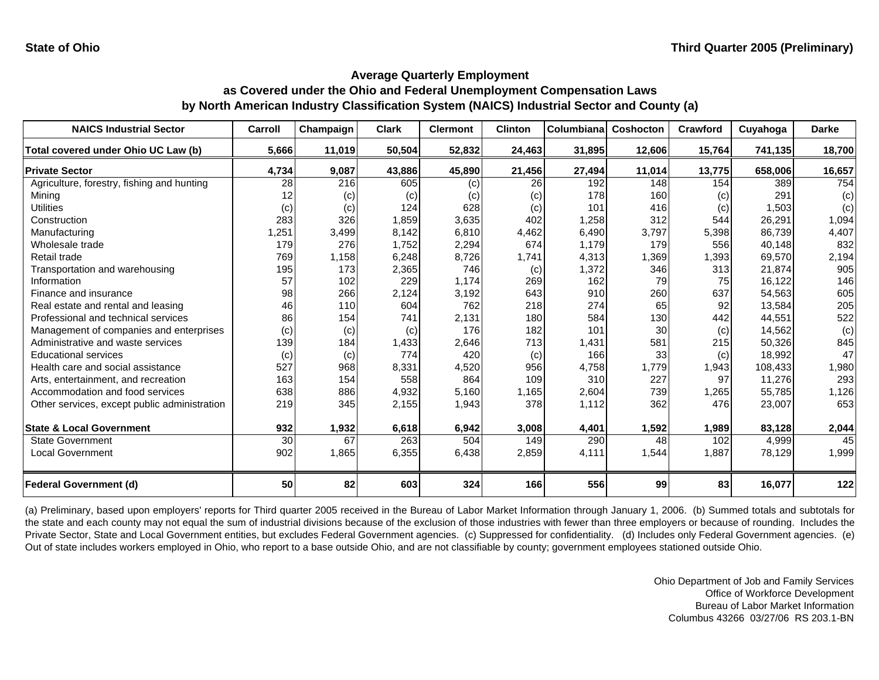| <b>NAICS Industrial Sector</b>               | Carroll | Champaign | Clark  | <b>Clermont</b> | <b>Clinton</b> | Columbiana | Coshocton | Crawford | Cuyahoga | <b>Darke</b> |
|----------------------------------------------|---------|-----------|--------|-----------------|----------------|------------|-----------|----------|----------|--------------|
| Total covered under Ohio UC Law (b)          | 5,666   | 11,019    | 50,504 | 52,832          | 24,463         | 31,895     | 12,606    | 15,764   | 741,135  | 18,700       |
| <b>Private Sector</b>                        | 4,734   | 9,087     | 43,886 | 45,890          | 21,456         | 27,494     | 11,014    | 13,775   | 658,006  | 16,657       |
| Agriculture, forestry, fishing and hunting   | 28      | 216       | 605    | (c)             | 26             | 192        | 148       | 154      | 389      | 754          |
| Mining                                       |         | (c)       | (c)    | (c)             | (c)            | 178        | 160       | (c)      | 291      | (c)          |
| Utilities                                    | (c)     | (c)       | 124    | 628             | (c)            | 101        | 416       | (c)      | 1,503    | (c)          |
| Construction                                 | 283     | 326       | 1,859  | 3,635           | 402            | 1,258      | 312       | 544      | 26,291   | 1,094        |
| Manufacturing                                | ,251    | 3,499     | 8,142  | 6,810           | 4,462          | 6,490      | 3,797     | 5,398    | 86.739   | 4,407        |
| Wholesale trade                              | 179     | 276       | 1,752  | 2,294           | 674            | 1,179      | 179       | 556      | 40,148   | 832          |
| Retail trade                                 | 769     | 1,158     | 6,248  | 8,726           | 1,741          | 4,313      | 1,369     | 1,393    | 69,570   | 2,194        |
| Transportation and warehousing               | 195     | 173       | 2,365  | 746             | (c)            | 1,372      | 346       | 313      | 21,874   | 905          |
| Information                                  | 57      | 102       | 229    | 1,174           | 269            | 162        | 79        | 75       | 16,122   | 146          |
| Finance and insurance                        | 98      | 266       | 2,124  | 3,192           | 643            | 910        | 260       | 637      | 54,563   | 605          |
| Real estate and rental and leasing           | 46      | 110       | 604    | 762             | 218            | 274        | 65        | 92       | 13,584   | 205          |
| Professional and technical services          | 86      | 154       | 741    | 2,131           | 180            | 584        | 130       | 442      | 44,551   | 522          |
| Management of companies and enterprises      | (c)     | (c)       | (c)    | 176             | 182            | 101        | 30        | (c)      | 14,562   | (c)          |
| Administrative and waste services            | 139     | 184       | 1,433  | 2,646           | 713            | 1,431      | 581       | 215      | 50,326   | 845          |
| <b>Educational services</b>                  | (c)     | (c)       | 774    | 420             | (c)            | 166        | 33        | (c)      | 18,992   | 47           |
| Health care and social assistance            | 527     | 968       | 8,331  | 4,520           | 956            | 4,758      | 1,779     | 1,943    | 108,433  | 1,980        |
| Arts, entertainment, and recreation          | 163     | 154       | 558    | 864             | 109            | 310        | 227       | 97       | 11,276   | 293          |
| Accommodation and food services              | 638     | 886       | 4,932  | 5,160           | 1,165          | 2,604      | 739       | 1,265    | 55,785   | 1,126        |
| Other services, except public administration | 219     | 345       | 2,155  | 1,943           | 378            | 1,112      | 362       | 476      | 23,007   | 653          |
|                                              |         |           |        |                 |                |            |           |          |          |              |
| <b>State &amp; Local Government</b>          | 932     | 1,932     | 6,618  | 6,942           | 3,008          | 4,401      | 1,592     | 1,989    | 83,128   | 2,044        |
| <b>State Government</b>                      | 30      | 67        | 263    | 504             | 149            | 290        | 48        | 102      | 4,999    | 45           |
| <b>Local Government</b>                      | 902     | 1,865     | 6,355  | 6,438           | 2,859          | 4,111      | 1,544     | 1,887    | 78,129   | 1,999        |
| Federal Government (d)                       | 50      | 82        | 603    | 324             | 166            | 556        | 99        | 83       | 16,077   | $122$        |

(a) Preliminary, based upon employers' reports for Third quarter 2005 received in the Bureau of Labor Market Information through January 1, 2006. (b) Summed totals and subtotals for the state and each county may not equal the sum of industrial divisions because of the exclusion of those industries with fewer than three employers or because of rounding. Includes the Private Sector, State and Local Government entities, but excludes Federal Government agencies. (c) Suppressed for confidentiality. (d) Includes only Federal Government agencies. (e) Out of state includes workers employed in Ohio, who report to a base outside Ohio, and are not classifiable by county; government employees stationed outside Ohio.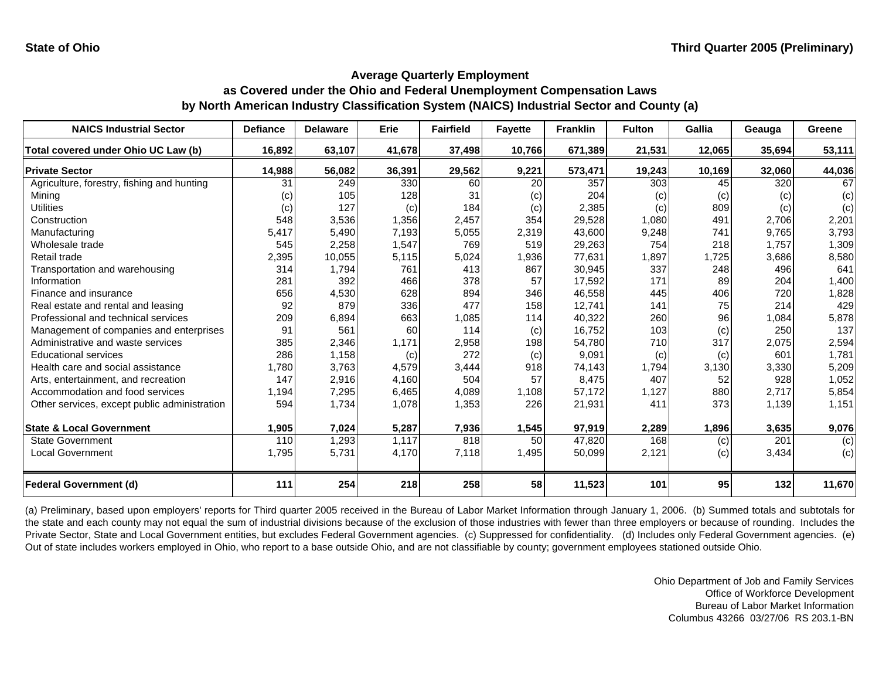| <b>NAICS Industrial Sector</b>               | <b>Defiance</b> | <b>Delaware</b> | Erie   | <b>Fairfield</b> | <b>Fayette</b> | <b>Franklin</b> | <b>Fulton</b> | <b>Gallia</b> | Geauga | Greene |
|----------------------------------------------|-----------------|-----------------|--------|------------------|----------------|-----------------|---------------|---------------|--------|--------|
| Total covered under Ohio UC Law (b)          | 16,892          | 63,107          | 41,678 | 37,498           | 10,766         | 671,389         | 21,531        | 12,065        | 35,694 | 53,111 |
| <b>Private Sector</b>                        | 14,988          | 56,082          | 36,391 | 29,562           | 9,221          | 573,471         | 19,243        | 10,169        | 32,060 | 44,036 |
| Agriculture, forestry, fishing and hunting   | 31              | 249             | 330    | 60               | 20             | 357             | 303           | 45            | 320    | 67     |
| Mining                                       | (c)             | 105             | 128    | 31               | (c)            | 204             | (c)           | (c)           | (c)    | (c)    |
| Utilities                                    | (c)             | 127             | (c)    | 184              | (c)            | 2,385           | (c)           | 809           | (c)    | (c)    |
| Construction                                 | 548             | 3,536           | 1,356  | 2,457            | 354            | 29,528          | 1,080         | 491           | 2,706  | 2,201  |
| Manufacturing                                | 5,417           | 5,490           | 7,193  | 5,055            | 2,319          | 43,600          | 9,248         | 741           | 9,765  | 3,793  |
| Wholesale trade                              | 545             | 2,258           | 1,547  | 769              | 519            | 29,263          | 754           | 218           | 1,757  | 1,309  |
| Retail trade                                 | 2,395           | 10,055          | 5,115  | 5,024            | 1,936          | 77,631          | 1,897         | 1,725         | 3,686  | 8,580  |
| Transportation and warehousing               | 314             | 1,794           | 761    | 413              | 867            | 30,945          | 337           | 248           | 496    | 641    |
| Information                                  | 281             | 392             | 466    | 378              | 57             | 17,592          | 171           | 89            | 204    | 1,400  |
| Finance and insurance                        | 656             | 4,530           | 628    | 894              | 346            | 46,558          | 445           | 406           | 720    | 1,828  |
| Real estate and rental and leasing           | 92              | 879             | 336    | 477              | 158            | 12,741          | 141           | 75            | 214    | 429    |
| Professional and technical services          | 209             | 6,894           | 663    | 1,085            | 114            | 40,322          | 260           | 96            | 1,084  | 5,878  |
| Management of companies and enterprises      | 91              | 561             | 60     | 114              | (c)            | 16,752          | 103           | (c)           | 250    | 137    |
| Administrative and waste services            | 385             | 2,346           | 1,171  | 2,958            | 198            | 54,780          | 710           | 317           | 2,075  | 2,594  |
| <b>Educational services</b>                  | 286             | 1,158           | (c)    | 272              | (c)            | 9,091           | (c)           | (c)           | 601    | 1,781  |
| Health care and social assistance            | 1,780           | 3,763           | 4,579  | 3,444            | 918            | 74,143          | 1,794         | 3,130         | 3,330  | 5,209  |
| Arts, entertainment, and recreation          | 147             | 2,916           | 4,160  | 504              | 57             | 8,475           | 407           | 52            | 928    | 1,052  |
| Accommodation and food services              | 1,194           | 7,295           | 6,465  | 4,089            | 1,108          | 57,172          | 1,127         | 880           | 2,717  | 5,854  |
| Other services, except public administration | 594             | 1,734           | 1,078  | 1,353            | 226            | 21,931          | 411           | 373           | 1,139  | 1,151  |
| <b>State &amp; Local Government</b>          | 1,905           | 7,024           | 5,287  | 7,936            | 1,545          | 97,919          | 2,289         | 1,896         | 3,635  | 9,076  |
| <b>State Government</b>                      | 110             | 1,293           | 1,117  | 818              | 50             | 47,820          | 168           | (c)           | 201    | (c)    |
| <b>Local Government</b>                      | 1,795           | 5,731           | 4,170  | 7,118            | 1,495          | 50,099          | 2,121         | (c)           | 3,434  | (c)    |
| <b>Federal Government (d)</b>                | 111             | 254             | 218    | 258              | 58             | 11,523          | 101           | 95            | 132    | 11,670 |

(a) Preliminary, based upon employers' reports for Third quarter 2005 received in the Bureau of Labor Market Information through January 1, 2006. (b) Summed totals and subtotals for the state and each county may not equal the sum of industrial divisions because of the exclusion of those industries with fewer than three employers or because of rounding. Includes the Private Sector, State and Local Government entities, but excludes Federal Government agencies. (c) Suppressed for confidentiality. (d) Includes only Federal Government agencies. (e) Out of state includes workers employed in Ohio, who report to a base outside Ohio, and are not classifiable by county; government employees stationed outside Ohio.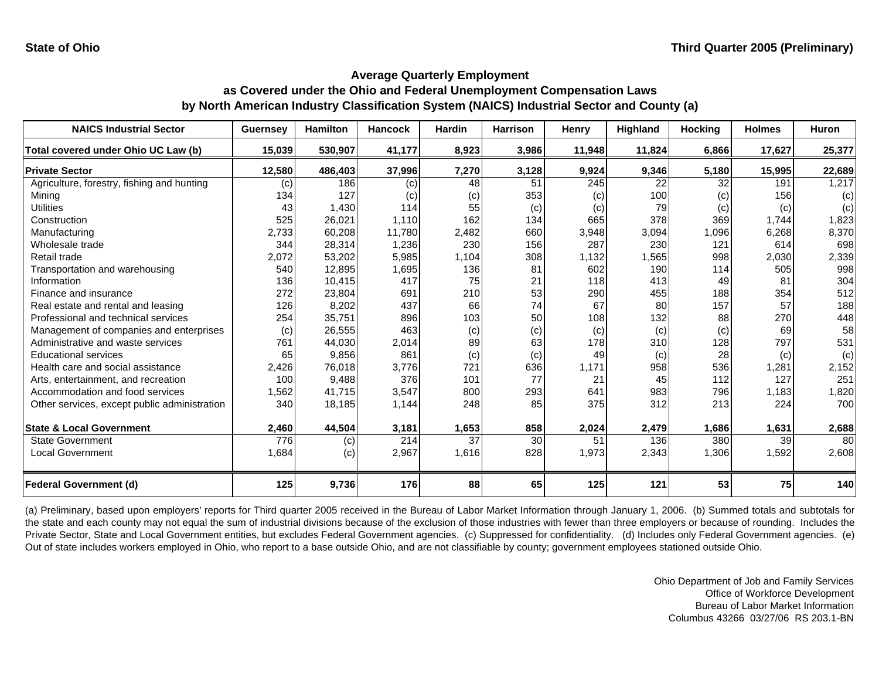| <b>NAICS Industrial Sector</b>               | <b>Guernsey</b> | <b>Hamilton</b> | <b>Hancock</b> | <b>Hardin</b> | <b>Harrison</b> | <b>Henry</b> | Highland | <b>Hocking</b> | <b>Holmes</b> | <b>Huron</b> |
|----------------------------------------------|-----------------|-----------------|----------------|---------------|-----------------|--------------|----------|----------------|---------------|--------------|
| Total covered under Ohio UC Law (b)          | 15,039          | 530,907         | 41,177         | 8,923         | 3,986           | 11,948       | 11,824   | 6,866          | 17,627        | 25,377       |
| <b>Private Sector</b>                        | 12,580          | 486,403         | 37,996         | 7,270         | 3,128           | 9,924        | 9,346    | 5,180          | 15,995        | 22,689       |
| Agriculture, forestry, fishing and hunting   | (c)             | 186             | (c)            | 48            | 51              | 245          | 22       | 32             | 191           | 1,217        |
| Mining                                       | 134             | 127             | (c)            | (c)           | 353             | (c)          | 100      | (c)            | 156           | (c)          |
| <b>Utilities</b>                             | 43              | 1,430           | 114            | 55            | (c)             | (c)          | 79       | (c)            | (c)           | (c)          |
| Construction                                 | 525             | 26,021          | 1,110          | 162           | 134             | 665          | 378      | 369            | 1,744         | 1,823        |
| Manufacturing                                | 2,733           | 60,208          | 11,780         | 2,482         | 660             | 3,948        | 3,094    | 1,096          | 6,268         | 8,370        |
| Wholesale trade                              | 344             | 28,314          | 1,236          | 230           | 156             | 287          | 230      | 121            | 614           | 698          |
| Retail trade                                 | 2,072           | 53,202          | 5,985          | 1,104         | 308             | 1,132        | 1,565    | 998            | 2,030         | 2,339        |
| Transportation and warehousing               | 540             | 12,895          | 1,695          | 136           | 81              | 602          | 190      | 114            | 505           | 998          |
| Information                                  | 136             | 10,415          | 417            | 75            | 21              | 118          | 413      | 49             | 81            | 304          |
| Finance and insurance                        | 272             | 23,804          | 691            | 210           | 53              | 290          | 455      | 188            | 354           | 512          |
| Real estate and rental and leasing           | 126             | 8,202           | 437            | 66            | 74              | 67           | 80       | 157            | 57            | 188          |
| Professional and technical services          | 254             | 35,751          | 896            | 103           | 50              | 108          | 132      | 88             | 270           | 448          |
| Management of companies and enterprises      | (c)             | 26,555          | 463            | (c)           | (c)             | (c)          | (c)      | (c)            | 69            | 58           |
| Administrative and waste services            | 761             | 44,030          | 2,014          | 89            | 63              | 178          | 310      | 128            | 797           | 531          |
| <b>Educational services</b>                  | 65              | 9,856           | 861            | (c)           | (c)             | 49           | (c)      | 28             | (c)           | (c)          |
| Health care and social assistance            | 2,426           | 76,018          | 3.776          | 721           | 636             | 1,171        | 958      | 536            | 1,281         | 2,152        |
| Arts, entertainment, and recreation          | 100             | 9,488           | 376            | 101           | 77              | 21           | 45       | 112            | 127           | 251          |
| Accommodation and food services              | 1,562           | 41,715          | 3,547          | 800           | 293             | 641          | 983      | 796            | 1,183         | 1,820        |
| Other services, except public administration | 340             | 18,185          | 1,144          | 248           | 85              | 375          | 312      | 213            | 224           | 700          |
| <b>State &amp; Local Government</b>          | 2,460           | 44,504          | 3,181          | 1,653         | 858             | 2,024        | 2,479    | 1,686          | 1,631         | 2,688        |
| <b>State Government</b>                      | 776             | (c)             | 214            | 37            | 30              | 51           | 136      | 380            | 39            | 80           |
| <b>Local Government</b>                      | 1,684           | (c)             | 2,967          | 1,616         | 828             | 1,973        | 2,343    | 1,306          | 1,592         | 2,608        |
| Federal Government (d)                       | 125             | 9,736           | 176            | 88            | 65              | 125          | 121      | 53             | 75            | 140          |

(a) Preliminary, based upon employers' reports for Third quarter 2005 received in the Bureau of Labor Market Information through January 1, 2006. (b) Summed totals and subtotals for the state and each county may not equal the sum of industrial divisions because of the exclusion of those industries with fewer than three employers or because of rounding. Includes the Private Sector, State and Local Government entities, but excludes Federal Government agencies. (c) Suppressed for confidentiality. (d) Includes only Federal Government agencies. (e) Out of state includes workers employed in Ohio, who report to a base outside Ohio, and are not classifiable by county; government employees stationed outside Ohio.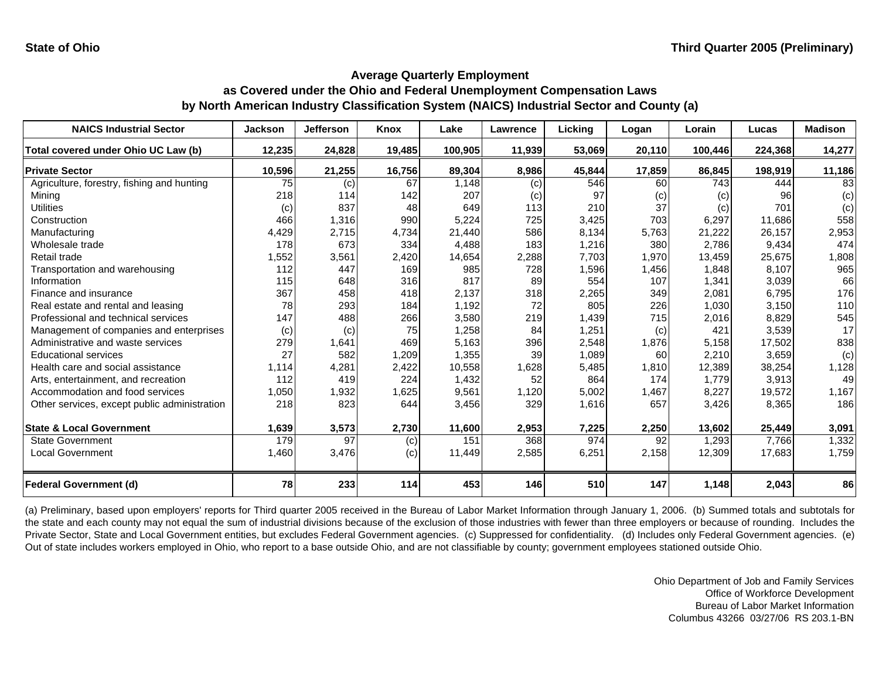| <b>NAICS Industrial Sector</b>               | <b>Jackson</b> | <b>Jefferson</b> | Knox   | Lake    | <b>Lawrence</b> | Licking | Logan  | Lorain  | Lucas   | <b>Madison</b> |
|----------------------------------------------|----------------|------------------|--------|---------|-----------------|---------|--------|---------|---------|----------------|
| Total covered under Ohio UC Law (b)          | 12,235         | 24,828           | 19,485 | 100,905 | 11,939          | 53,069  | 20,110 | 100,446 | 224,368 | 14,277         |
| <b>Private Sector</b>                        | 10,596         | 21,255           | 16,756 | 89,304  | 8,986           | 45,844  | 17,859 | 86,845  | 198,919 | 11,186         |
| Agriculture, forestry, fishing and hunting   | 75             | (c)              | 67     | 1,148   | (c)             | 546     | 60     | 743     | 444     | 83             |
| Mining                                       | 218            | 114              | 142    | 207     | (c)             | 97      | (c)    | (c)     | 96      | (c)            |
| Utilities                                    | (c)            | 837              | 48     | 649     | 113             | 210     | 37     | (c)     | 701     | (c)            |
| Construction                                 | 466            | 1,316            | 990    | 5,224   | 725             | 3,425   | 703    | 6,297   | 11,686  | 558            |
| Manufacturing                                | 4,429          | 2,715            | 4,734  | 21,440  | 586             | 8,134   | 5,763  | 21,222  | 26,157  | 2,953          |
| Wholesale trade                              | 178            | 673              | 334    | 4,488   | 183             | 1,216   | 380    | 2,786   | 9,434   | 474            |
| Retail trade                                 | 1,552          | 3,561            | 2,420  | 14,654  | 2,288           | 7,703   | 1,970  | 13,459  | 25,675  | 1,808          |
| Transportation and warehousing               | 112            | 447              | 169    | 985     | 728             | 1,596   | 1,456  | 1,848   | 8,107   | 965            |
| Information                                  | 115            | 648              | 316    | 817     | 89              | 554     | 107    | 1,341   | 3,039   | 66             |
| Finance and insurance                        | 367            | 458              | 418    | 2,137   | 318             | 2,265   | 349    | 2,081   | 6,795   | 176            |
| Real estate and rental and leasing           | 78             | 293              | 184    | 1,192   | 72              | 805     | 226    | 1,030   | 3,150   | 110            |
| Professional and technical services          | 147            | 488              | 266    | 3,580   | 219             | 1,439   | 715    | 2,016   | 8,829   | 545            |
| Management of companies and enterprises      | (c)            | (c)              | 75     | 1,258   | 84              | 1,251   | (c)    | 421     | 3,539   | 17             |
| Administrative and waste services            | 279            | 1,641            | 469    | 5,163   | 396             | 2,548   | 1,876  | 5,158   | 17,502  | 838            |
| <b>Educational services</b>                  | 27             | 582              | 1,209  | 1,355   | 39              | 1,089   | 60     | 2,210   | 3,659   | (c)            |
| Health care and social assistance            | 1,114          | 4,281            | 2,422  | 10,558  | 1,628           | 5,485   | 1,810  | 12,389  | 38,254  | 1,128          |
| Arts, entertainment, and recreation          | 112            | 419              | 224    | 1,432   | 52              | 864     | 174    | 1,779   | 3,913   | 49             |
| Accommodation and food services              | 1,050          | 1,932            | 1,625  | 9,561   | 1,120           | 5,002   | 1,467  | 8,227   | 19,572  | 1,167          |
| Other services, except public administration | 218            | 823              | 644    | 3,456   | 329             | 1,616   | 657    | 3,426   | 8,365   | 186            |
| <b>State &amp; Local Government</b>          | 1,639          | 3,573            | 2,730  | 11,600  | 2,953           | 7,225   | 2,250  | 13,602  | 25,449  | 3,091          |
| <b>State Government</b>                      | 179            | 97               | (c)    | 151     | 368             | 974     | 92     | 1,293   | 7.766   | 1,332          |
| <b>Local Government</b>                      | 1,460          | 3,476            | (c)    | 11,449  | 2,585           | 6,251   | 2,158  | 12,309  | 17,683  | 1,759          |
| <b>Federal Government (d)</b>                | 78             | 233              | 114    | 453     | 146             | 510     | 147    | 1,148   | 2,043   | 86             |

(a) Preliminary, based upon employers' reports for Third quarter 2005 received in the Bureau of Labor Market Information through January 1, 2006. (b) Summed totals and subtotals for the state and each county may not equal the sum of industrial divisions because of the exclusion of those industries with fewer than three employers or because of rounding. Includes the Private Sector, State and Local Government entities, but excludes Federal Government agencies. (c) Suppressed for confidentiality. (d) Includes only Federal Government agencies. (e) Out of state includes workers employed in Ohio, who report to a base outside Ohio, and are not classifiable by county; government employees stationed outside Ohio.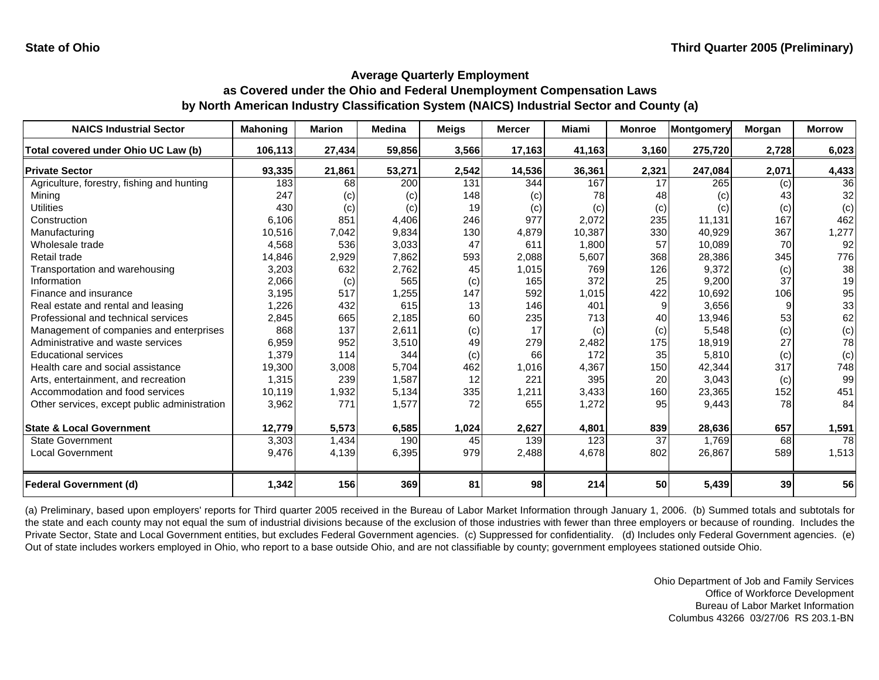| <b>NAICS Industrial Sector</b>               | <b>Mahoning</b> | <b>Marion</b> | <b>Medina</b> | <b>Meigs</b> | <b>Mercer</b> | <b>Miami</b> | <b>Monroe</b>   | Montgomery | Morgan | <b>Morrow</b> |
|----------------------------------------------|-----------------|---------------|---------------|--------------|---------------|--------------|-----------------|------------|--------|---------------|
| Total covered under Ohio UC Law (b)          | 106,113         | 27,434        | 59,856        | 3,566        | 17,163        | 41,163       | 3,160           | 275,720    | 2,728  | 6,023         |
| <b>Private Sector</b>                        | 93,335          | 21,861        | 53,271        | 2,542        | 14,536        | 36,361       | 2,321           | 247,084    | 2,071  | 4,433         |
| Agriculture, forestry, fishing and hunting   | 183             | 68            | 200           | 131          | 344           | 167          | 17              | 265        | (c)    | 36            |
| Mining                                       | 247             | (c)           | (c)           | 148          | (c)           | 78           | 48              | (c)        | 43     | 32            |
| <b>Utilities</b>                             | 430             | (c)           | (c)           | 19           | (c)           | (c)          | (c)             | (c)        | (c)    | (c)           |
| Construction                                 | 6,106           | 851           | 4,406         | 246          | 977           | 2,072        | 235             | 11,131     | 167    | 462           |
| Manufacturing                                | 10,516          | 7,042         | 9,834         | 130          | 4,879         | 10,387       | 330             | 40.929     | 367    | 1,277         |
| Wholesale trade                              | 4,568           | 536           | 3,033         | 47           | 611           | 1,800        | 57              | 10,089     | 70     | 92            |
| Retail trade                                 | 14,846          | 2,929         | 7,862         | 593          | 2,088         | 5,607        | 368             | 28,386     | 345    | 776           |
| Transportation and warehousing               | 3,203           | 632           | 2,762         | 45           | 1,015         | 769          | 126             | 9.372      | (c)    | 38            |
| Information                                  | 2,066           | (c)           | 565           | (c)          | 165           | 372          | 25              | 9,200      | 37     | 19            |
| Finance and insurance                        | 3,195           | 517           | 1,255         | 147          | 592           | 1,015        | 422             | 10.692     | 106    | 95            |
| Real estate and rental and leasing           | 1,226           | 432           | 615           | 13           | 146           | 401          | 9               | 3,656      | 9      | 33            |
| Professional and technical services          | 2,845           | 665           | 2,185         | 60           | 235           | 713          | 40              | 13,946     | 53     | 62            |
| Management of companies and enterprises      | 868             | 137           | 2,611         | (c)          | 17            | (c)          | (c)             | 5,548      | (c)    | (c)           |
| Administrative and waste services            | 6,959           | 952           | 3,510         | 49           | 279           | 2,482        | 175             | 18,919     | 27     | 78            |
| <b>Educational services</b>                  | 1,379           | 114           | 344           | (c)          | 66            | 172          | 35              | 5,810      | (c)    | (c)           |
| Health care and social assistance            | 19,300          | 3,008         | 5,704         | 462          | 1,016         | 4,367        | 150             | 42,344     | 317    | 748           |
| Arts, entertainment, and recreation          | 1,315           | 239           | 1,587         | 12           | 221           | 395          | 20              | 3,043      | (c)    | 99            |
| Accommodation and food services              | 10,119          | 1,932         | 5,134         | 335          | 1,211         | 3,433        | 160             | 23,365     | 152    | 451           |
| Other services, except public administration | 3,962           | 771           | 1,577         | 72           | 655           | 1,272        | 95              | 9,443      | 78     | 84            |
| <b>State &amp; Local Government</b>          | 12,779          | 5,573         | 6,585         | 1,024        | 2,627         | 4,801        | 839             | 28,636     | 657    | 1,591         |
| <b>State Government</b>                      | 3,303           | 1,434         | 190           | 45           | 139           | 123          | $\overline{37}$ | 1.769      | 68     | 78            |
| <b>Local Government</b>                      | 9,476           | 4,139         | 6,395         | 979          | 2,488         | 4,678        | 802             | 26,867     | 589    | 1,513         |
|                                              |                 |               |               |              |               |              |                 |            |        |               |
| <b>Federal Government (d)</b>                | 1,342           | 156           | 369           | 81           | 98            | 214          | 50              | 5,439      | 39     | 56            |

(a) Preliminary, based upon employers' reports for Third quarter 2005 received in the Bureau of Labor Market Information through January 1, 2006. (b) Summed totals and subtotals for the state and each county may not equal the sum of industrial divisions because of the exclusion of those industries with fewer than three employers or because of rounding. Includes the Private Sector, State and Local Government entities, but excludes Federal Government agencies. (c) Suppressed for confidentiality. (d) Includes only Federal Government agencies. (e) Out of state includes workers employed in Ohio, who report to a base outside Ohio, and are not classifiable by county; government employees stationed outside Ohio.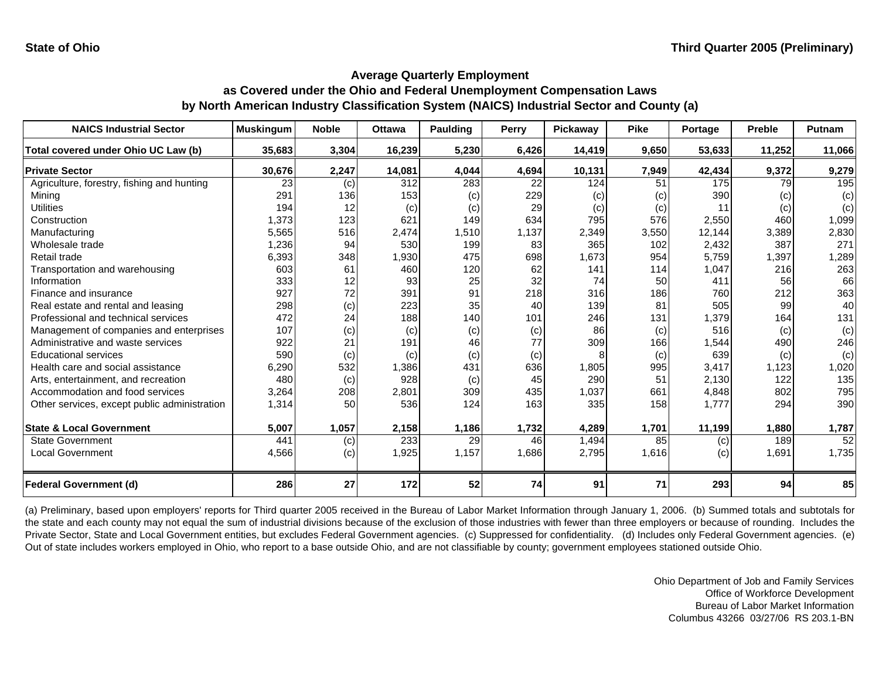| <b>NAICS Industrial Sector</b>               | <b>Muskingum</b> | <b>Noble</b> | <b>Ottawa</b> | <b>Paulding</b> | Perry | Pickaway | <b>Pike</b> | Portage | <b>Preble</b> | Putnam |
|----------------------------------------------|------------------|--------------|---------------|-----------------|-------|----------|-------------|---------|---------------|--------|
| Total covered under Ohio UC Law (b)          | 35,683           | 3,304        | 16,239        | 5,230           | 6,426 | 14,419   | 9,650       | 53,633  | 11,252        | 11,066 |
| <b>Private Sector</b>                        | 30,676           | 2,247        | 14,081        | 4,044           | 4,694 | 10,131   | 7,949       | 42,434  | 9,372         | 9,279  |
| Agriculture, forestry, fishing and hunting   | 23               | (c)          | 312           | 283             | 22    | 124      | 51          | 175     | 79            | 195    |
| Mining                                       | 291              | 136          | 153           | (c)             | 229   | (c)      | (c)         | 390     | (c)           | (c)    |
| <b>Utilities</b>                             | 194              | 12           | (c)           | (c)             | 29    | (c)      | (c)         | 11      | (c)           | (c)    |
| Construction                                 | 1,373            | 123          | 621           | 149             | 634   | 795      | 576         | 2,550   | 460           | 1,099  |
| Manufacturing                                | 5,565            | 516          | 2,474         | 1,510           | 1,137 | 2,349    | 3,550       | 12,144  | 3,389         | 2,830  |
| Wholesale trade                              | 1,236            | 94           | 530           | 199             | 83    | 365      | 102         | 2,432   | 387           | 271    |
| Retail trade                                 | 6,393            | 348          | 1,930         | 475             | 698   | 1,673    | 954         | 5,759   | 1,397         | 1,289  |
| Transportation and warehousing               | 603              | 61           | 460           | 120             | 62    | 141      | 114         | 1,047   | 216           | 263    |
| Information                                  | 333              | 12           | 93            | 25              | 32    | 74       | 50          | 411     | 56            | 66     |
| Finance and insurance                        | 927              | 72           | 391           | 91              | 218   | 316      | 186         | 760     | 212           | 363    |
| Real estate and rental and leasing           | 298              | (c)          | 223           | 35              | 40    | 139      | 81          | 505     | 99            | 40     |
| Professional and technical services          | 472              | 24           | 188           | 140             | 101   | 246      | 131         | 1,379   | 164           | 131    |
| Management of companies and enterprises      | 107              | (c)          | (c)           | (c)             | (c)   | 86       | (c)         | 516     | (c)           | (c)    |
| Administrative and waste services            | 922              | 21           | 191           | 46              | 77    | 309      | 166         | 1,544   | 490           | 246    |
| <b>Educational services</b>                  | 590              | (c)          | (c)           | (c)             | (c)   |          | (c)         | 639     | (c)           | (c)    |
| Health care and social assistance            | 6,290            | 532          | 1,386         | 431             | 636   | 1,805    | 995         | 3,417   | 1,123         | 1,020  |
| Arts, entertainment, and recreation          | 480              | (c)          | 928           | (c)             | 45    | 290      | 51          | 2,130   | 122           | 135    |
| Accommodation and food services              | 3,264            | 208          | 2,801         | 309             | 435   | 1,037    | 661         | 4,848   | 802           | 795    |
| Other services, except public administration | 1,314            | 50           | 536           | 124             | 163   | 335      | 158         | 1,777   | 294           | 390    |
|                                              |                  |              |               |                 |       |          |             |         |               |        |
| <b>State &amp; Local Government</b>          | 5,007            | 1,057        | 2,158         | 1,186           | 1,732 | 4,289    | 1,701       | 11,199  | 1,880         | 1,787  |
| <b>State Government</b>                      | 441              | (c)          | 233           | 29              | 46    | 1,494    | 85          | (c)     | 189           | 52     |
| <b>Local Government</b>                      | 4,566            | (c)          | 1,925         | 1,157           | 1,686 | 2,795    | 1,616       | (c)     | 1,691         | 1,735  |
| Federal Government (d)                       | 286              | 27           | 172           | 52              | 74    | 91       | 71          | 293     | 94            | 85     |

(a) Preliminary, based upon employers' reports for Third quarter 2005 received in the Bureau of Labor Market Information through January 1, 2006. (b) Summed totals and subtotals for the state and each county may not equal the sum of industrial divisions because of the exclusion of those industries with fewer than three employers or because of rounding. Includes the Private Sector, State and Local Government entities, but excludes Federal Government agencies. (c) Suppressed for confidentiality. (d) Includes only Federal Government agencies. (e) Out of state includes workers employed in Ohio, who report to a base outside Ohio, and are not classifiable by county; government employees stationed outside Ohio.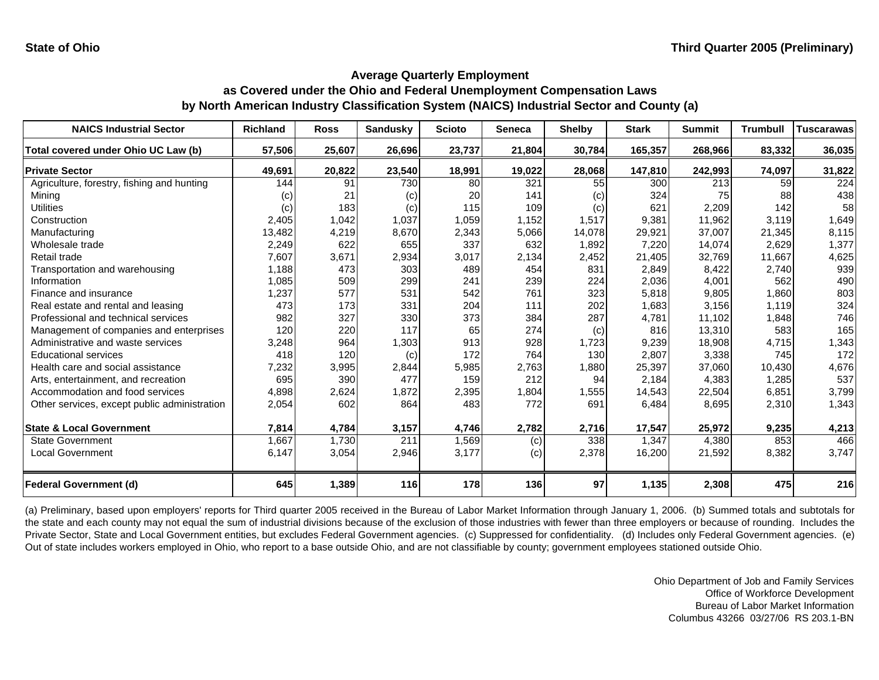| <b>NAICS Industrial Sector</b>               | <b>Richland</b> | <b>Ross</b> | <b>Sandusky</b> | <b>Scioto</b> | <b>Seneca</b> | <b>Shelby</b> | <b>Stark</b> | <b>Summit</b> | <b>Trumbull</b> | <b>Tuscarawas</b> |
|----------------------------------------------|-----------------|-------------|-----------------|---------------|---------------|---------------|--------------|---------------|-----------------|-------------------|
| Total covered under Ohio UC Law (b)          | 57,506          | 25,607      | 26,696          | 23,737        | 21,804        | 30,784        | 165,357      | 268,966       | 83,332          | 36,035            |
| <b>Private Sector</b>                        | 49,691          | 20,822      | 23,540          | 18,991        | 19,022        | 28,068        | 147,810      | 242,993       | 74,097          | 31,822            |
| Agriculture, forestry, fishing and hunting   | 144             | 91          | 730             | 80            | 321           | 55            | 300          | 213           | 59              | 224               |
| Mining                                       | (c)             | 21          | (c)             | 20            | 141           | (c)           | 324          | 75            | 88              | 438               |
| Utilities                                    | (c)             | 183         | (c)             | 115           | 109           | (c)           | 621          | 2,209         | 142             | 58                |
| Construction                                 | 2,405           | 1,042       | 1,037           | 1,059         | 1,152         | 1,517         | 9,381        | 11,962        | 3,119           | 1,649             |
| Manufacturing                                | 13,482          | 4,219       | 8,670           | 2,343         | 5,066         | 14,078        | 29,921       | 37,007        | 21,345          | 8,115             |
| Wholesale trade                              | 2,249           | 622         | 655             | 337           | 632           | 1,892         | 7,220        | 14,074        | 2,629           | 1,377             |
| Retail trade                                 | 7,607           | 3,671       | 2,934           | 3,017         | 2,134         | 2,452         | 21,405       | 32,769        | 11,667          | 4,625             |
| Transportation and warehousing               | 1,188           | 473         | 303             | 489           | 454           | 831           | 2,849        | 8,422         | 2,740           | 939               |
| Information                                  | 1,085           | 509         | 299             | 241           | 239           | 224           | 2,036        | 4,001         | 562             | 490               |
| Finance and insurance                        | 1,237           | 577         | 531             | 542           | 761           | 323           | 5.818        | 9,805         | 1.860           | 803               |
| Real estate and rental and leasing           | 473             | 173         | 331             | 204           | 111           | 202           | 1,683        | 3,156         | 1,119           | 324               |
| Professional and technical services          | 982             | 327         | 330             | 373           | 384           | 287           | 4,781        | 11,102        | 1,848           | 746               |
| Management of companies and enterprises      | 120             | 220         | 117             | 65            | 274           | (c)           | 816          | 13,310        | 583             | 165               |
| Administrative and waste services            | 3,248           | 964         | 1,303           | 913           | 928           | 1,723         | 9,239        | 18,908        | 4,715           | 1,343             |
| <b>Educational services</b>                  | 418             | 120         | (c)             | 172           | 764           | 130           | 2,807        | 3,338         | 745             | 172               |
| Health care and social assistance            | 7,232           | 3,995       | 2,844           | 5,985         | 2,763         | 1,880         | 25,397       | 37,060        | 10,430          | 4,676             |
| Arts, entertainment, and recreation          | 695             | 390         | 477             | 159           | 212           | 94            | 2,184        | 4,383         | 1,285           | 537               |
| Accommodation and food services              | 4,898           | 2,624       | 1,872           | 2,395         | 1,804         | 1,555         | 14,543       | 22,504        | 6,851           | 3,799             |
| Other services, except public administration | 2,054           | 602         | 864             | 483           | 772           | 691           | 6,484        | 8,695         | 2,310           | 1,343             |
| <b>State &amp; Local Government</b>          | 7,814           | 4,784       | 3,157           | 4,746         | 2,782         | 2,716         | 17,547       | 25,972        | 9,235           | 4,213             |
| <b>State Government</b>                      | 1,667           | 1,730       | 211             | 1,569         | (c)           | 338           | 1,347        | 4,380         | 853             | 466               |
| <b>Local Government</b>                      | 6,147           | 3,054       | 2,946           | 3,177         | (c)           | 2,378         | 16,200       | 21,592        | 8,382           | 3,747             |
|                                              |                 |             |                 |               |               |               |              |               |                 |                   |
| <b>Federal Government (d)</b>                | 645             | 1,389       | 116             | 178           | 136           | 97            | 1,135        | 2,308         | 475             | 216               |

(a) Preliminary, based upon employers' reports for Third quarter 2005 received in the Bureau of Labor Market Information through January 1, 2006. (b) Summed totals and subtotals for the state and each county may not equal the sum of industrial divisions because of the exclusion of those industries with fewer than three employers or because of rounding. Includes the Private Sector, State and Local Government entities, but excludes Federal Government agencies. (c) Suppressed for confidentiality. (d) Includes only Federal Government agencies. (e) Out of state includes workers employed in Ohio, who report to a base outside Ohio, and are not classifiable by county; government employees stationed outside Ohio.